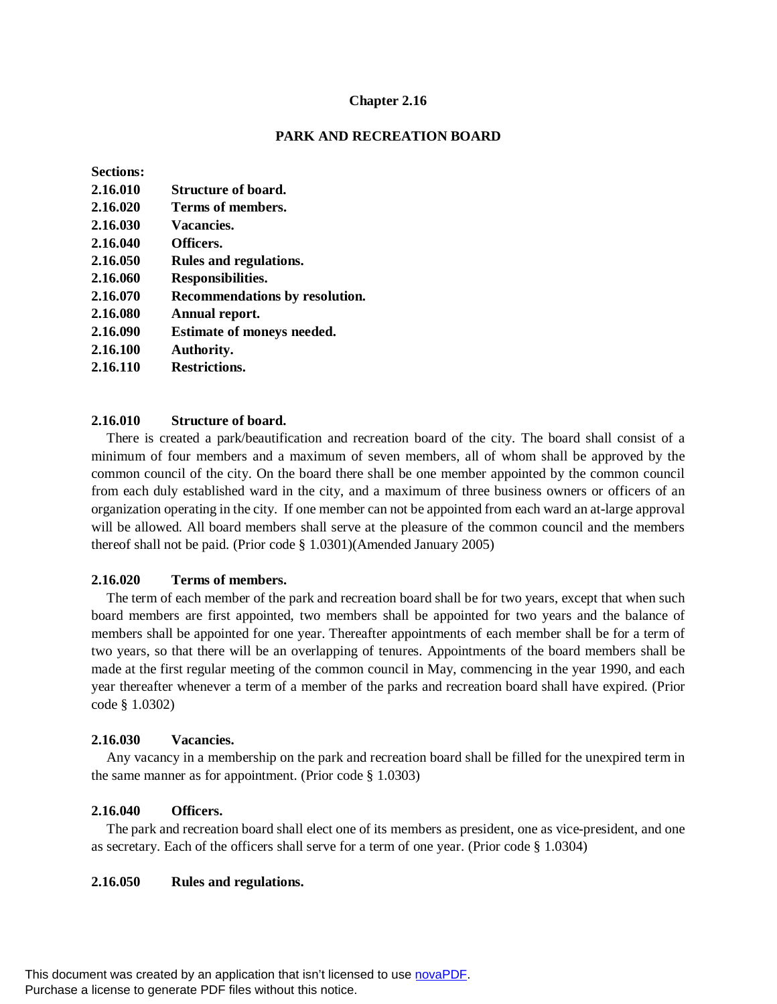## **Chapter 2.16**

## **PARK AND RECREATION BOARD**

## **Sections:**

| 2.16.020<br>Terms of members.<br>2.16.030<br>Vacancies.<br>2.16.040<br>Officers.<br>2.16.050<br>Rules and regulations.<br>2.16.060<br>Responsibilities.<br>2.16.070<br>Recommendations by resolution.<br>2.16.080<br>Annual report.<br><b>Estimate of moneys needed.</b><br>2.16.090<br>2.16.100<br>Authority.<br><b>Restrictions.</b><br>2.16.110 | 2.16.010 | Structure of board. |
|----------------------------------------------------------------------------------------------------------------------------------------------------------------------------------------------------------------------------------------------------------------------------------------------------------------------------------------------------|----------|---------------------|
|                                                                                                                                                                                                                                                                                                                                                    |          |                     |
|                                                                                                                                                                                                                                                                                                                                                    |          |                     |
|                                                                                                                                                                                                                                                                                                                                                    |          |                     |
|                                                                                                                                                                                                                                                                                                                                                    |          |                     |
|                                                                                                                                                                                                                                                                                                                                                    |          |                     |
|                                                                                                                                                                                                                                                                                                                                                    |          |                     |
|                                                                                                                                                                                                                                                                                                                                                    |          |                     |
|                                                                                                                                                                                                                                                                                                                                                    |          |                     |
|                                                                                                                                                                                                                                                                                                                                                    |          |                     |
|                                                                                                                                                                                                                                                                                                                                                    |          |                     |

# **2.16.010 Structure of board.**

There is created a park/beautification and recreation board of the city. The board shall consist of a minimum of four members and a maximum of seven members, all of whom shall be approved by the common council of the city. On the board there shall be one member appointed by the common council from each duly established ward in the city, and a maximum of three business owners or officers of an organization operating in the city. If one member can not be appointed from each ward an at-large approval will be allowed. All board members shall serve at the pleasure of the common council and the members thereof shall not be paid. (Prior code § 1.0301)(Amended January 2005)

## **2.16.020 Terms of members.**

The term of each member of the park and recreation board shall be for two years, except that when such board members are first appointed, two members shall be appointed for two years and the balance of members shall be appointed for one year. Thereafter appointments of each member shall be for a term of two years, so that there will be an overlapping of tenures. Appointments of the board members shall be made at the first regular meeting of the common council in May, commencing in the year 1990, and each year thereafter whenever a term of a member of the parks and recreation board shall have expired. (Prior code § 1.0302)

#### **2.16.030 Vacancies.**

Any vacancy in a membership on the park and recreation board shall be filled for the unexpired term in the same manner as for appointment. (Prior code § 1.0303)

## **2.16.040 Officers.**

The park and recreation board shall elect one of its members as president, one as vice-president, and one as secretary. Each of the officers shall serve for a term of one year. (Prior code § 1.0304)

#### **2.16.050 Rules and regulations.**